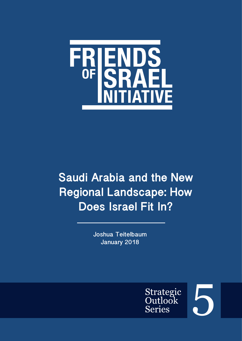

# **Saudi Arabia and the New Regional Landscape: How Does Israel Fit In?**

**Joshua Teitelbaum January 2018**



5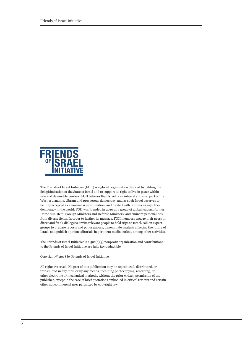

The Friends of Israel Initiative (FOII) is a global organization devoted to fighting the delegitimization of the State of Israel and to support its right to live in peace within safe and defensible borders. FOII believes that Israel is an integral and vital part of the West, a dynamic, vibrant and prosperous democracy, and as such Israel deserves to be fully accepted as a normal Western nation, and treated with fairness as any other democracy in the world. FOII was founded in 2010 as a group of global leaders, former Prime Ministers, Foreign Ministers and Defense Ministers, and eminent personalities from diverse fields. In order to further its message, FOII members engage their peers in direct and frank dialogues, invite relevant people to field trips to Israel, call on expert groups to prepare reports and policy papers, disseminate analysis affecting the future of Israel, and publish opinion editorials in pertinent media outlets, among other activities.

The Friends of Israel Initiative is a  $501(c)(3)$  nonprofit organization and contributions to the Friends of Israel Initiative are fully tax-deductible.

Copyright © 2018 by Friends of Israel Initiative

All rights reserved. No part of this publication may be reproduced, distributed, or transmitted in any form or by any means, including photocopying, recording, or other electronic or mechanical methods, without the prior written permission of the publisher, except in the case of brief quotations embodied in critical reviews and certain other noncommercial uses permitted by copyright law.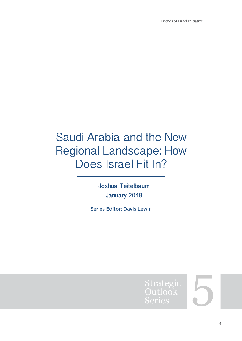## Saudi Arabia and the New Regional Landscape: How Does Israel Fit In?

**Joshua Teitelbaum January 2018**

Series Editor: Davis Lewin



5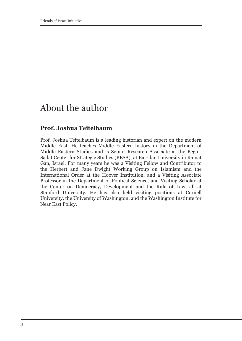### About the author

#### **Prof. Joshua Teitelbaum**

Prof. Joshua Teitelbaum is a leading historian and expert on the modern Middle East. He teaches Middle Eastern history in the Department of Middle Eastern Studies and is Senior Research Associate at the Begin-Sadat Center for Strategic Studies (BESA), at Bar-Ilan University in Ramat Gan, Israel. For many years he was a Visiting Fellow and Contributor to the Herbert and Jane Dwight Working Group on Islamism and the International Order at the Hoover Institution, and a Visiting Associate Professor in the Department of Political Science, and Visiting Scholar at the Center on Democracy, Development and the Rule of Law, all at Stanford University. He has also held visiting positions at Cornell University, the University of Washington, and the Washington Institute for Near East Policy.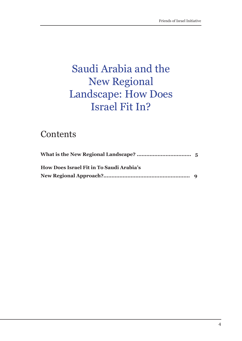## Saudi Arabia and the New Regional Landscape: How Does Israel Fit In?

### **Contents**

| How Does Israel Fit in To Saudi Arabia's |  |
|------------------------------------------|--|
|                                          |  |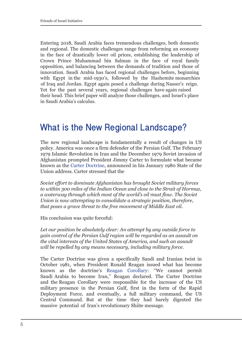Entering 2018, Saudi Arabia faces tremendous challenges, both domestic and regional. The domestic challenges range from reforming an economy in the face of drastically lower oil prices, establishing the leadership of Crown Prince Muhammad bin Salman in the face of royal family opposition, and balancing between the demands of tradition and those of innovation. Saudi Arabia has faced regional challenges before, beginning with Egypt in the mid-1930's, followed by the Hashemite monarchies of Iraq and Jordan. Egypt again posed a challenge during Nasser's reign. Yet for the past several years, regional challenges have again raised their head. This brief paper will analyze those challenges, and Israel's place in Saudi Arabia's calculus.

### **What is the New Regional Landscape?**

The new regional landscape is fundamentally a result of changes in US policy. America was once a firm defender of the Persian Gulf. The February 1979 Islamic Revolution in Iran and the December 1979 Soviet invasion of Afghanistan prompted President Jimmy Carter to formulate what became known as the [Carter Doctrine,](http://www.presidency.ucsb.edu/ws/?pid=33079) announced in his January 1980 State of the Union address. Carter stressed that the

*Soviet effort to dominate Afghanistan has brought Soviet military forces to within 300 miles of the Indian Ocean and close to the Strait of Hormuz, a waterway through which most of the world's oil must flow. The Soviet Union is now attempting to consolidate a strategic position, therefore, that poses a grave threat to the free movement of Middle East oil.*

His conclusion was quite forceful:

*Let our position be absolutely clear: An attempt by any outside force to gain control of the Persian Gulf region will be regarded as an assault on the vital interests of the United States of America, and such an assault will be repelled by any means necessary, including military force.*

The Carter Doctrine was given a specifically Saudi and Iranian twist in October 1981, when President Ronald Reagan issued what has become known as the doctrine's [Reagan Corollary:](https://www.jstor.org/stable/40202373?seq=1#page_scan_tab_contents) ''We cannot permit Saudi Arabia to become Iran,'' Reagan declared. The Carter Doctrine and the Reagan Corollary were responsible for the increase of the US military presence in the Persian Gulf, first in the form of the Rapid Deployment Force, and eventually, a full military command, the US Central Command. But at the time they had barely digested the massive potential of Iran's revolutionary Shiite message.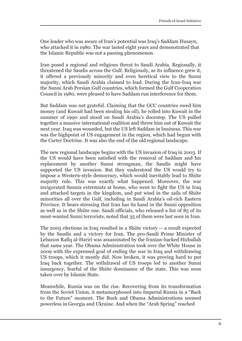One leader who was aware of Iran's potential was Iraq's Saddam Husayn, who attacked it in 1980. The war lasted eight years and demonstrated that the Islamic Republic was not a passing phenomenon.

Iran posed a regional and religious threat to Saudi Arabia. Regionally, it threatened the Saudis across the Gulf. Religiously, as its influence grew it, it offered a previously minority and even heretical view to the Sunni majority, which Saudi Arabia claimed to lead. During the Iran-Iraq war the Sunni Arab Persian Gulf countries, which formed the Gulf Cooperation Council in 1980, were pleased to have Saddam run interference for them.

But Saddam was not grateful. Claiming that the GCC countries owed him money (and Kuwait had been stealing his oil), he rolled into Kuwait in the summer of 1990 and stood on Saudi Arabia's doorstep. The US pulled together a massive international coalition and threw him out of Kuwait the next year. Iraq was wounded, but the US left Saddam in business. This war was the highpoint of US engagement in the region, which had begun with the Carter Doctrine. It was also the end of the old regional landscape.

The new regional landscape begins with the US invasion of Iraq in 2003. If the US would have been satisfied with the removal of Saddam and his replacement by another Sunni strongman, the Saudis might have supported the US invasion. But they understood the US would try to impose a Western-style democracy, which would inevitably lead to Shiite majority rule. This was exactly what happened. Moreover, the war invigorated Sunnis extremists at home, who went to fight the US in Iraq and attacked targets in the kingdom, and put wind in the sails of Shiite minorities all over the Gulf, including in Saudi Arabia's oil-rich Eastern Province. It bears stressing that Iran has its hand in the Sunni opposition as well as in the Shiite one. Saudi officials, who released a list of 85 of its most-wanted Sunni terrorists, noted that 35 of them were last seen in Iran.

The 2005 elections in Iraq resulted in a Shiite victory -- a result expected by the Saudis and a victory for Iran. The pro-Saudi Prime Minister of Lebanon Rafiq al-Hariri was assassinated by the Iranian-backed Hizballah that same year. The Obama Administration took over the White House in 2009 with the expressed goal of ending the war in Iraq and withdrawing US troops, which it mostly did. Now broken, it was proving hard to put Iraq back together. The withdrawal of US troops led to another Sunni insurgency, fearful of the Shiite dominance of the state. This was soon taken over by Islamic State.

Meanwhile, Russia was on the rise. Recovering from its transformation from the Soviet Union, it metamorphosed into Imperial Russia in a "Back to the Future" moment. The Bush and Obama Administrations seemed powerless in Georgia and Ukraine. And when the "Arab Spring" reached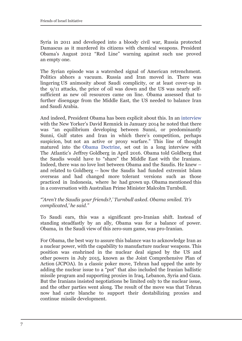Syria in 2011 and developed into a bloody civil war, Russia protected Damascus as it murdered its citizens with chemical weapons. President Obama's August 2012 "Red Line" warning against such use proved an empty one.

The Syrian episode was a watershed signal of American retrenchment. Politics abhors a vacuum. Russia and Iran moved in. There was lingering US animosity about Saudi complicity, or at least cover-up in the 9/11 attacks, the price of oil was down and the US was nearly selfsufficient as new oil resources came on line. Obama assessed that to further disengage from the Middle East, the US needed to balance Iran and Saudi Arabia.

And indeed, President Obama has been explicit about this. In [an interview](https://www.newyorker.com/magazine/2014/01/27/going-the-distance-david-remnick) with the New Yorker's David Remnick in January 2014 he noted that there was "an equilibrium developing between Sunni, or predominantly Sunni, Gulf states and Iran in which there's competition, perhaps suspicion, but not an active or proxy warfare." This line of thought matured into the [Obama Doctrine,](https://www.theatlantic.com/magazine/archive/2016/04/the-obama-doctrine/471525/) set out in a long interview with The Atlantic's Jeffrey Goldberg in April 2016. Obama told Goldberg that the Saudis would have to "share" the Middle East with the Iranians. Indeed, there was no love lost between Obama and the Saudis. He knew – and related to Goldberg -- how the Saudis had funded extremist Islam overseas and had changed more tolerant versions such as those practiced in Indonesia, where he had grown up. Obama mentioned this in a conversation with Australian Prime Minister Malcolm Turnbull.

#### *"'Aren't the Saudis your friends?,' Turnbull asked. Obama smiled. 'It's complicated,' he said."*

To Saudi ears, this was a significant pro-Iranian shift. Instead of standing steadfastly by an ally, Obama was for a balance of power. Obama, in the Saudi view of this zero-sum game, was pro-Iranian.

For Obama, the best way to assure this balance was to acknowledge Iran as a nuclear power, with the capability to manufacture nuclear weapons. This position was enshrined in the nuclear deal signed by the US and other powers in July 2015, known as the Joint Comprehensive Plan of Action (JCPOA). In a classic poker move, Tehran had upped the ante by adding the nuclear issue to a "pot" that also included the Iranian ballistic missile program and supporting proxies in Iraq, Lebanon, Syria and Gaza. But the Iranians insisted negotiations be limited only to the nuclear issue, and the other parties went along. The result of the move was that Tehran now had carte blanche to support their destabilizing proxies and continue missile development.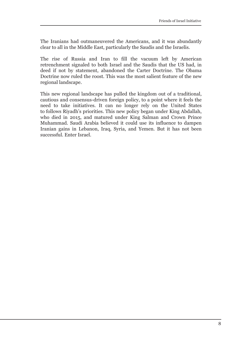The Iranians had outmaneuvered the Americans, and it was abundantly clear to all in the Middle East, particularly the Saudis and the Israelis.

The rise of Russia and Iran to fill the vacuum left by American retrenchment signaled to both Israel and the Saudis that the US had, in deed if not by statement, abandoned the Carter Doctrine. The Obama Doctrine now ruled the roost. This was the most salient feature of the new regional landscape.

This new regional landscape has pulled the kingdom out of a traditional, cautious and consensus-driven foreign policy, to a point where it feels the need to take initiatives. It can no longer rely on the United States to follows Riyadh's priorities. This new policy began under King Abdallah, who died in 2015, and matured under King Salman and Crown Prince Muhammad. Saudi Arabia believed it could use its influence to dampen Iranian gains in Lebanon, Iraq, Syria, and Yemen. But it has not been successful. Enter Israel.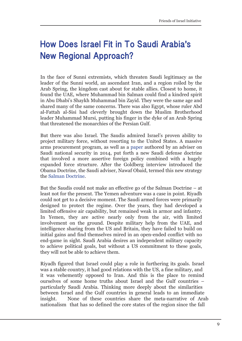### **How Does Israel Fit in To Saudi Arabia's New Regional Approach?**

In the face of Sunni extremists, which threaten Saudi legitimacy as the leader of the Sunni world, an ascendant Iran, and a region roiled by the Arab Spring, the kingdom cast about for stable allies. Closest to home, it found the UAE, where Muhammad bin Salman could find a kindred spirit in Abu Dhabi's Shaykh Muhammad bin Zayid. They were the same age and shared many of the same concerns. There was also Egypt, whose ruler Abd al-Fattah al-Sisi had cleverly brought down the Muslim Brotherhood leader Muhammad Mursi, putting his finger in the dyke of an Arab Spring that threatened the monarchies of the Persian Gulf.

But there was also Israel. The Saudis admired Israel's proven ability to project military force, without resorting to the United States. A massive arms procurement program, as well as a [paper](https://www.belfercenter.org/publication/saudi-arabian-defense-doctrine) authored by an adviser on Saudi national security in 2014, put forth a new Saudi defense doctrine that involved a more assertive foreign policy combined with a hugely expanded force structure. After the Goldberg interview introduced the Obama Doctrine, the Saudi adviser, Nawaf Obaid, termed this new strategy th[e Salman Doctrine](https://www.belfercenter.org/publication/salman-doctrine-saudi-reply-obamas-weakness).

But the Saudis could not make an effective go of the Salman Doctrine – at least not for the present. The Yemen adventure was a case in point. Riyadh could not get to a decisive moment. The Saudi armed forces were primarily designed to protect the regime. Over the years, they had developed a limited offensive air capability, but remained weak in armor and infantry. In Yemen, they are active nearly only from the air, with limited involvement on the ground. Despite military help from the UAE, and intelligence sharing from the US and Britain, they have failed to build on initial gains and find themselves mired in an open-ended conflict with no end-game in sight. Saudi Arabia desires an independent military capacity to achieve political goals, but without a US commitment to these goals, they will not be able to achieve them.

Riyadh figured that Israel could play a role in furthering its goals. Israel was a stable country, it had good relations with the US, a fine military, and it was vehemently opposed to Iran. And this is the place to remind ourselves of some home truths about Israel and the Gulf countries – particularly Saudi Arabia. Thinking more deeply about the similarities between Israel and the Gulf countries in general leads to an immediate insight. None of these countries share the meta-narrative of Arab nationalism that has so defined the core states of the region since the fall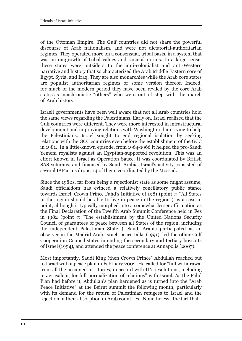of the Ottoman Empire. The Gulf countries did not share the powerful discourse of Arab nationalism, and were not dictatorial-authoritarian regimes. They operated more on a consensual, tribal basis, in a system that was an outgrowth of tribal values and societal norms. In a large sense, these states were outsiders to the anti-colonialist and anti-Western narrative and history that so characterized the Arab Middle Eastern core of Egypt, Syria, and Iraq. They are also monarchies while the Arab core states are populist authoritarian regimes or some version thereof. Indeed, for much of the modern period they have been reviled by the core Arab states as anachronistic "others" who were out of step with the march of Arab history.

Israeli governments have been well aware that not all Arab countries hold the same views regarding the Palestinians. Early on, Israel realized that the Gulf countries were different. They were more interested in infrastructural development and improving relations with Washington than trying to help the Palestinians. Israel sought to end regional isolation by seeking relations with the GCC countries even before the establishment of the GCC in 1981. In a little-known episode, from 1964-1966 it helped the pro-Saudi Yemeni royalists against an Egyptian-supported revolution. This was an effort known in Israel as Operation Sauce. It was coordinated by British SAS veterans, and financed by Saudi Arabia. Israel's activity consisted of several IAF arms drops, 14 of them, coordinated by the Mossad.

Since the 1980s, far from being a rejectionist state as some might assume, Saudi officialdom has evinced a relatively conciliatory public stance towards Israel. Crown Prince Fahd's Initiative of 1981 (point 7: "All States in the region should be able to live in peace in the region"), is a case in point, although it typically morphed into a somewhat lesser affirmation as the Final Declaration of the Twelfth Arab Summit Conference held in Fez in 1982 (point 7: "The establishment by the United Nations Security Council of guarantees of peace between all States of the region, including the independent Palestinian State."). Saudi Arabia participated as an observer in the Madrid Arab-Israeli peace talks (1991), led the other Gulf Cooperation Council states in ending the secondary and tertiary boycotts of Israel (1994), and attended the peace conference at Annapolis (2007).

Most importantly, Saudi King (then Crown Prince) Abdullah reached out to Israel with a peace plan in February 2002. He called for "full withdrawal from all the occupied territories, in accord with UN resolutions, including in Jerusalem, for full normalization of relations" with Israel. As the Fahd Plan had before it, Abdullah's plan hardened as is turned into the "Arab Peace Initiative" at the Beirut summit the following month, particularly with its demand for the return of Palestinian refugees to Israel and the rejection of their absorption in Arab countries. Nonetheless, the fact that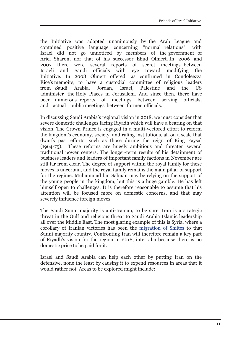the Initiative was adapted unanimously by the Arab League and contained positive language concerning "normal relations" with Israel did not go unnoticed by members of the government of Ariel Sharon, nor that of his successor Ehud Olmert. In 2006 and 2007 there were several reports of secret meetings between Israeli and Saudi officials with eye toward modifying the Initiative. In 2008 Olmert offered, as confirmed in Condoleezza Rice's memoirs, to have a custodial committee of religious leaders from Saudi Arabia, Jordan, Israel, Palestine and the US administer the Holy Places in Jerusalem. And since then, there have been numerous reports of meetings between serving officials, and actual public meetings between former officials.

In discussing Saudi Arabia's regional vision in 2018, we must consider that severe domestic challenges facing Riyadh which will have a bearing on that vision. The Crown Prince is engaged in a multi-vectored effort to reform the kingdom's economy, society, and ruling institutions, all on a scale that dwarfs past efforts, such as those during the reign of King Faysal (1964-75). These reforms are hugely ambitious and threaten several traditional power centers. The longer-term results of his detainment of business leaders and leaders of important family factions in November are still far from clear. The degree of support within the royal family for these moves is uncertain, and the royal family remains the main pillar of support for the regime. Muhammad bin Salman may be relying on the support of the young people in the kingdom, but this is a huge gamble. He has left himself open to challenges. It is therefore reasonable to assume that his attention will be focused more on domestic concerns, and that may severely influence foreign moves.

The Saudi Sunni majority is anti-Iranian, to be sure. Iran is a strategic threat in the Gulf and religious threat to Saudi Arabia Islamic leadership all over the Middle East. The most glaring example of this is Syria, where a corollary of Iranian victories has been the [migration of Shiites](https://www.theguardian.com/world/2017/jan/13/irans-syria-project-pushing-population-shifts-to-increase-influence) to that Sunni majority country. Confronting Iran will therefore remain a key part of Riyadh's vision for the region in 2018, inter alia because there is no domestic price to be paid for it.

Israel and Saudi Arabia can help each other by putting Iran on the defensive, none the least by causing it to expend resources in areas that it would rather not. Areas to be explored might include: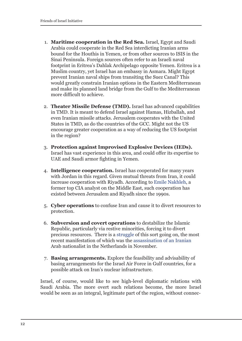- 1. **Maritime cooperation in the Red Sea.** Israel, Egypt and Saudi Arabia could cooperate in the Red Sea interdicting Iranian arms bound for the Houthis in Yemen, or from other sources to ISIS in the Sinai Peninsula. Foreign sources often refer to an Israeli naval footprint in Eritrea's Dahlak Archipelago opposite Yemen. Eritrea is a Muslim country, yet Israel has an embassy in Asmara. Might Egypt prevent Iranian naval ships from transiting the Suez Canal? This would greatly constrain Iranian options in the Eastern Mediterranean and make its planned land bridge from the Gulf to the Mediterranean more difficult to achieve.
- 2. **Theater Missile Defense (TMD).** Israel has advanced capabilities in TMD. It is meant to defend Israel against Hamas, Hizballah, and even Iranian missile attacks. Jerusalem cooperates with the United States in TMD, as do the countries of the GCC. Might not the US encourage greater cooperation as a way of reducing the US footprint in the region?
- 3. **Protection against Improvised Explosive Devices (IEDs).** Israel has vast experience in this area, and could offer its expertise to UAE and Saudi armor fighting in Yemen.
- 4. **Intelligence cooperation.** Israel has cooperated for many years with Jordan in this regard. Given mutual threats from Iran, it could increase cooperation with Riyadh. According to [Emile Nakhleh,](https://www.alaraby.co.uk/english/comment/2017/11/28/saudi-israeli-intelligence-sharing-brings-closer-relations-fraught-with-challenges) a former top CIA analyst on the Middle East, such cooperation has existed between Jerusalem and Riyadh since the 1990s.
- 5. **Cyber operations** to confuse Iran and cause it to divert resources to protection.
- 6. **Subversion and covert operations** to destabilize the Islamic Republic, particularly via restive minorities, forcing it to divert precious resources. There is a [struggle o](https://besacenter.org/perspectives-papers/iran-covert-wars/)f this sort going on, the most recent manifestation of which was the [assassination of an Iranian](https://www.huffingtonpost.com/entry/murder-in-the-hague-saudi-iranian-proxy-war-heats_us_5a056ccae4b0cc46c52e697f) Arab nationalist in the Netherlands in November.
- 7. **Basing arrangements.** Explore the feasibility and advisability of basing arrangements for the Israel Air Force in Gulf countries, for a possible attack on Iran's nuclear infrastructure.

Israel, of course, would like to see high-level diplomatic relations with Saudi Arabia. The more overt such relations become, the more Israel would be seen as an integral, legitimate part of the region, without connec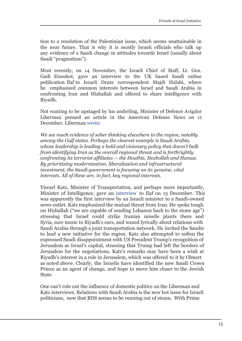tion to a resolution of the Palestinian issue, which seems unattainable in the near future. That is why it is mostly Israeli officials who talk up any evidence of a Saudi change in attitudes towards Israel (usually about Saudi "pragmatism").

Most recently, on 14 November, the Israeli Chief of Staff, Lt. Gen. Gadi Eisenkot, gave an interview to the UK based Saudi online publication Ilaf to Israeli Druze correspondent Majdi Halabi, where he emphasized common interests between Israel and Saudi Arabia in confronting Iran and Hizballah and offered to share intelligence with Riyadh.

Not wanting to be upstaged by his underling, Minister of Defence Avigdor Liberman penned an article in the American Defense News on 11 December. Liberma[n wrote:](https://www.defensenews.com/outlook/2017/12/11/israels-liberman-uniting-behind-pragmatism-in-the-middle-east/?utm_source=feedburner&utm_medium=feed&utm_campaign=Feed%3A+defense-news%2Fhome+%28Defense+News+-+Arc+RSS+-+Home%29)

*We see much evidence of sober thinking elsewhere in the region, notably among the Gulf states. Perhaps the clearest example is Saudi Arabia, whose leadership is leading a bold and visionary policy that doesn't balk from identifying Iran as the overall regional threat and is forthrightly confronting its terrorist affiliates — the Houthis, Hezbollah and Hamas. By prioritizing modernization, liberalization and infrastructural investment, the Saudi government is focusing on its genuine, vital interests. All of these are, in fact, key regional interests.*

Yisrael Katz, Minister of Transportation, and perhaps more importantly, Minister of Intelligence, gave an [interview](http://elaph.com/Web/News/2017/12/1181311.html) to Ilaf on 13 December. This was apparently the first interview by an Israeli minister to a Saudi-owned news outlet. Katz emphasized the mutual threat from Iran. He spoke tough on Hizballah ("we are capable of sending Lebanon back to the stone age") stressing that Israel could strike Iranian missile plants there and Syria, sure music to Riyadh's ears, and waxed lyrically about relations with Saudi Arabia through a joint transportation network. He invited the Saudis to lead a new initiative for the region. Katz also attempted to soften the expressed Saudi disappointment with US President Trump's recognition of Jerusalem as Israel's capital, stressing that Trump had left the borders of Jerusalem for the negotiations. Katz's remarks may have been a wink at Riyadh's interest in a role in Jerusalem, which was offered to it by Olmert as noted above. Clearly, the Israelis have identified the new Saudi Crown Prince as an agent of change, and hope to move him closer to the Jewish State.

One can't rule out the influence of domestic politics on the Liberman and Katz interviews. Relations with Saudi Arabia is the new hot issue for Israeli politicians, now that BDS seems to be running out of steam. With Prime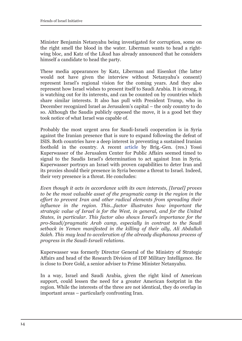Minister Benjamin Netanyahu being investigated for corruption, some on the right smell the blood in the water. Liberman wants to head a rightwing bloc, and Katz of the Likud has already announced that he considers himself a candidate to head the party.

These media appearances by Katz, Liberman and Eisenkot (the latter would not have given the interview without Netanyahu's consent) represent Israel's regional vision for the coming years. And they also represent how Israel wishes to present itself to Saudi Arabia. It is strong, it is watching out for its interests, and can be counted on by countries which share similar interests. It also has pull with President Trump, who in December recognized Israel as Jerusalem's capital – the only country to do so. Although the Saudis publicly opposed the move, it is a good bet they took notice of what Israel was capable of.

Probably the most urgent area for Saudi-Israeli cooperation is in Syria against the Iranian presence that is sure to expand following the defeat of ISIS. Both countries have a deep interest in preventing a sustained Iranian foothold in the country. A recent [article](http://jcpa.org/can-iran-proxies-restrained-syria/) by Brig.-Gen. (res.) Yossi Kuperwasser of the Jerusalem Center for Public Affairs seemed timed to signal to the Saudis Israel's determination to act against Iran in Syria. Kuperwasser portrays an Israel with proven capabilities to deter Iran and its proxies should their presence in Syria become a threat to Israel. Indeed, their very presence is a threat. He concludes:

*Even though it acts in accordance with its own interests, [Israel] proves to be the most valuable asset of the pragmatic camp in the region in the effort to prevent Iran and other radical elements from spreading their influence in the region. This...factor illustrates how important the strategic value of Israel is for the West, in general, and for the United States, in particular. This factor also shows Israel's importance for the pro-Saudi/pragmatic Arab camp, especially in contrast to the Saudi setback in Yemen manifested in the killing of their ally, Ali Abdallah Saleh. This may lead to acceleration of the already diaphanous process of progress in the Saudi-Israeli relations.*

Kuperwasser was formerly Director General of the Ministry of Strategic Affairs and head of the Research Division of IDF Military Intelligence. He is close to Dore Gold, a senior adviser to Prime Minister Netanyahu.

In a way, Israel and Saudi Arabia, given the right kind of American support, could lessen the need for a greater American footprint in the region. While the interests of the three are not identical, they do overlap in important areas – particularly confronting Iran.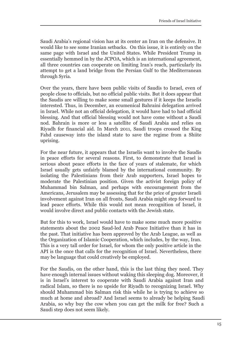Saudi Arabia's regional vision has at its center an Iran on the defensive. It would like to see some Iranian setbacks. On this issue, it is entirely on the same page with Israel and the United States. While President Trump in essentially hemmed in by the JCPOA, which is an international agreement, all three countries can cooperate on limiting Iran's reach, particularly its attempt to get a land bridge from the Persian Gulf to the Mediterranean through Syria.

Over the years, there have been public visits of Saudis to Israel, even of people close to officials, but no official public visits. But it does appear that the Saudis are willing to make some small gestures if it keeps the Israelis interested. Thus, in December, an ecumenical Bahraini delegation arrived in Israel. While not an official delegation, it would have had to had official blessing. And that official blessing would not have come without a Saudi nod. Bahrain is more or less a satellite of Saudi Arabia and relies on Riyadh for financial aid. In March 2011, Saudi troops crossed the King Fahd causeway into the island state to save the regime from a Shiite uprising.

For the near future, it appears that the Israelis want to involve the Saudis in peace efforts for several reasons. First, to demonstrate that Israel is serious about peace efforts in the face of years of stalemate, for which Israel usually gets unfairly blamed by the international community. By isolating the Palestinians from their Arab supporters, Israel hopes to moderate the Palestinian position. Given the activist foreign policy of Muhammad bin Salman, and perhaps with encouragement from the Americans, Jerusalem may be assessing that for the price of greater Israeli involvement against Iran on all fronts, Saudi Arabia might step forward to lead peace efforts. While this would not mean recognition of Israel, it would involve direct and public contacts with the Jewish state.

But for this to work, Israel would have to make some much more positive statements about the 2002 Saud-led Arab Peace Initiative than it has in the past. That initiative has been approved by the Arab League, as well as the Organization of Islamic Cooperation, which includes, by the way, Iran. This is a very tall order for Israel, for whom the only positive article in the API is the once that calls for the recognition of Israel. Nevertheless, there may be language that could creatively be employed.

For the Saudis, on the other hand, this is the last thing they need. They have enough internal issues without waking this sleeping dog. Moreover, it is in Israel's interest to cooperate with Saudi Arabia against Iran and radical Islam, so there is no upside for Riyadh to recognizing Israel. Why should Muhammad bin Salman risk this while he is trying to achieve so much at home and abroad? And Israel seems to already be helping Saudi Arabia, so why buy the cow when you can get the milk for free? Such a Saudi step does not seem likely.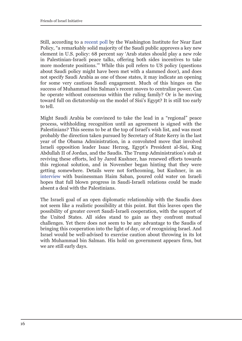Still, according to a [recent poll](http://www.washingtoninstitute.org/fikraforum/view/unique-saudi-poll-shows-moderate-majority-but-sectarian-split) by the Washington Institute for Near East Policy, "a remarkably solid majority of the Saudi public approves a key new element in U.S. policy: 68 percent say 'Arab states should play a new role in Palestinian-Israeli peace talks, offering both sides incentives to take more moderate positions.'" While this poll refers to US policy (questions about Saudi policy might have been met with a slammed door), and does not specify Saudi Arabia as one of those states, it may indicate an opening for some very cautious Saudi engagement. Much of this hinges on the success of Muhammad bin Salman's recent moves to centralize power. Can he operate without consensus within the ruling family? Or is he moving toward full on dictatorship on the model of Sisi's Egypt? It is still too early to tell.

Might Saudi Arabia be convinced to take the lead in a "regional" peace process, withholding recognition until an agreement is signed with the Palestinians? This seems to be at the top of Israel's wish list, and was most probably the direction taken pursued by Secretary of State Kerry in the last year of the Obama Administration, in a convoluted move that involved Israeli opposition leader Isaac Herzog, Egypt's President al-Sisi, King Abdullah II of Jordan, and the Saudis. The Trump Administration's stab at reviving these efforts, led by Jared Kushner, has renewed efforts towards this regional solution, and in November began hinting that they were getting somewhere. Details were not forthcoming, but Kushner, in an [interview](https://www.haaretz.com/us-news/1.826542) with businessman Haim Saban, poured cold water on Israeli hopes that full blown progress in Saudi-Israeli relations could be made absent a deal with the Palestinians.

The Israeli goal of an open diplomatic relationship with the Saudis does not seem like a realistic possibility at this point. But this leaves open the possibility of greater covert Saudi-Israeli cooperation, with the support of the United States. All sides stand to gain as they confront mutual challenges. Yet there does not seem to be any advantage to the Saudis of bringing this cooperation into the light of day, or of recognizing Israel. And Israel would be well-advised to exercise caution about throwing in its lot with Muhammad bin Salman. His hold on government appears firm, but we are still early days.